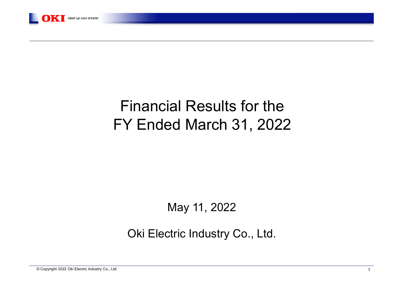

# Financial Results for the FY Ended March 31, 2022

### May 11, 2022

Oki Electric Industry Co., Ltd.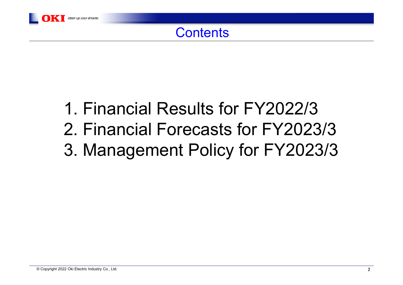

# 1. Financial Results for FY2022/32. Financial Forecasts for FY2023/33. Management Policy for FY2023/3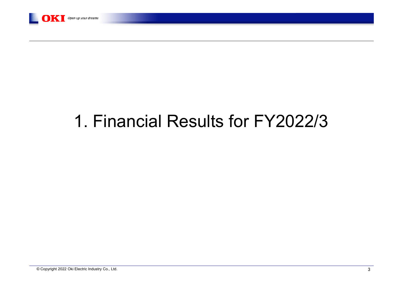

# 1. Financial Results for FY2022/3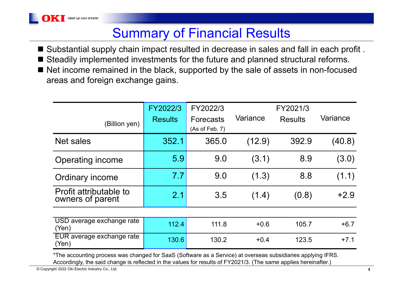## Summary of Financial Results

 $\blacksquare$  Substantial supply chain impact resulted in decrease in sales and fall in each profit . ■ Steadily implemented investments for the future and planned structural reforms. ■ Net income remained in the black, supported by the sale of assets in non-focused areas and foreign exchange gains.

|                                            | FY2022/3       | FY2022/3                           |          | FY2021/3       |          |
|--------------------------------------------|----------------|------------------------------------|----------|----------------|----------|
| (Billion yen)                              | <b>Results</b> | <b>Forecasts</b><br>(As of Feb. 7) | Variance | <b>Results</b> | Variance |
| Net sales                                  | 352.1          | 365.0                              | (12.9)   | 392.9          | (40.8)   |
| Operating income                           | 5.9            | 9.0                                | (3.1)    | 8.9            | (3.0)    |
| Ordinary income                            | 7.7            | 9.0                                | (1.3)    | 8.8            | (1.1)    |
| Profit attributable to<br>owners of parent | 2.1            | 3.5                                | (1.4)    | (0.8)          | $+2.9$   |
|                                            |                |                                    |          |                |          |
| USD average exchange rate<br>(Yen)         | 112.4          | 111.8                              | $+0.6$   | 105.7          | $+6.7$   |
| EUR average exchange rate<br>(Yen)         | 130.6          | 130.2                              | $+0.4$   | 123.5          | $+7.1$   |

\*The accounting process was changed for SaaS (Software as a Service) at overseas subsidiaries applying IFRS. Accordingly, the said change is reflected in the values for results of FY2021/3. (The same applies hereinafter.)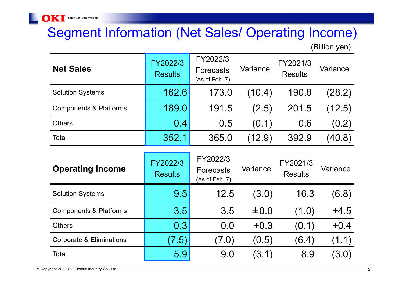### Segment Information (Net Sales/ Operating Income)

(Billion yen)

| <b>Net Sales</b>                  | FY2022/3<br><b>Results</b> | FY2022/3<br><b>Forecasts</b><br>(As of Feb. 7) | Variance  | FY2021/3<br><b>Results</b> | Variance |
|-----------------------------------|----------------------------|------------------------------------------------|-----------|----------------------------|----------|
| <b>Solution Systems</b>           | 162.6                      | 173.0                                          | (10.4)    | 190.8                      | (28.2)   |
| <b>Components &amp; Platforms</b> | 189.0                      | 191.5                                          | (2.5)     | 201.5                      | (12.5)   |
| <b>Others</b>                     | $0.4^{\circ}$              | 0.5                                            | (0.1)     | 0.6                        | (0.2)    |
| Total                             | 352.1                      | 365.0                                          | (12.9)    | 392.9                      | (40.8)   |
|                                   |                            |                                                |           |                            |          |
| <b>Operating Income</b>           | FY2022/3<br><b>Results</b> | FY2022/3<br><b>Forecasts</b><br>(As of Feb. 7) | Variance  | FY2021/3<br><b>Results</b> | Variance |
| <b>Solution Systems</b>           | 9.5                        | 12.5                                           | (3.0)     | 16.3                       | (6.8)    |
| <b>Components &amp; Platforms</b> | 3.5                        | 3.5                                            | $\pm 0.0$ | (1.0)                      | $+4.5$   |
| <b>Others</b>                     | 0.3                        | 0.0                                            | $+0.3$    | (0.1)                      | $+0.4$   |
| Corporate & Eliminations          | (7.5)                      | (7.0)                                          | (0.5)     | (6.4)                      | (1.1)    |
| Total                             | 5.9                        | 9.0                                            | (3.1)     | 8.9                        | (3.0)    |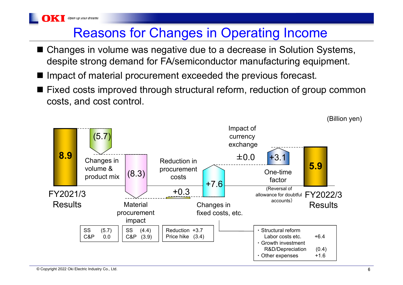## Reasons for Changes in Operating Income

- Changes in volume was negative due to a decrease in Solution Systems, despite strong demand for FA/semiconductor manufacturing equipment.
- Impact of material procurement exceeded the previous forecast.
- Fixed costs improved through structural reform, reduction of group common costs, and cost control.

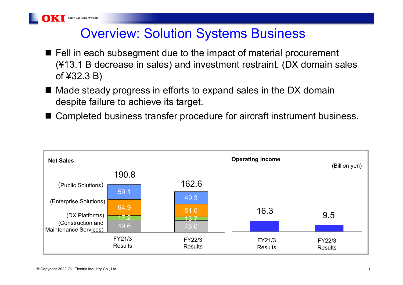

- Fell in each subsegment due to the impact of material procurement (¥13.1 B decrease in sales) and investment restraint. (DX domain sales of ¥32.3 B)
- Made steady progress in efforts to expand sales in the DX domain despite failure to achieve its target.
- Completed business transfer procedure for aircraft instrument business.

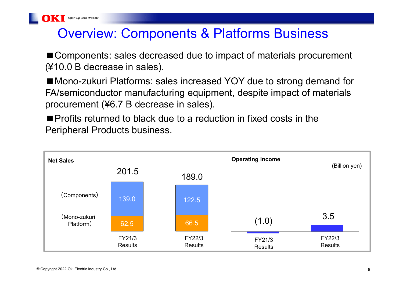

### Overview: Components & Platforms Business

■ Components: sales decreased due to impact of materials procurement (¥10.0 B decrease in sales).

■ Mono-zukuri Platforms: sales increased YOY due to strong demand for FA/semiconductor manufacturing equipment, despite impact of materials procurement (¥6.7 B decrease in sales).

■ Profits returned to black due to a reduction in fixed costs in the Peripheral Products business.

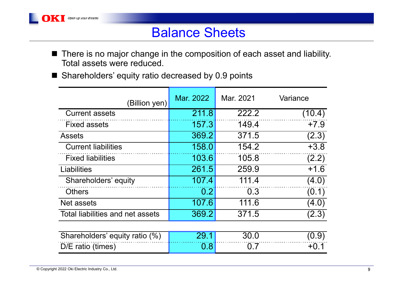

- $\blacksquare$  There is no major change in the composition of each asset and liability. Total assets were reduced.
- Shareholders' equity ratio decreased by 0.9 points

| (Billion yen)                    | Mar. 2022 | Mar. 2021 | Variance |
|----------------------------------|-----------|-----------|----------|
| <b>Current assets</b>            | 211.8     | 222.2     | (10.4)   |
| <b>Fixed assets</b>              | 157.3     | 149.4     | $+7.9$   |
| <b>Assets</b>                    | 369.2     | 371.5     | (2.3)    |
| <b>Current liabilities</b>       | 158.0     | 154.2     | $+3.8$   |
| <b>Fixed liabilities</b>         | 103.6     | 105.8     | (2.2)    |
| Liabilities                      | 261.5     | 259.9     | $+1.6$   |
| Shareholders' equity             | 107.4     | 111.4     | (4.0)    |
| <b>Others</b>                    | 0.2       | 0.3       | (0.1)    |
| Net assets                       | 107.6     | 111.6     | (4.0)    |
| Total liabilities and net assets | 369.2     | 371.5     | (2.3)    |
|                                  |           |           | $\sim$   |

| Shareholders' equity ratio (%) |  |  |
|--------------------------------|--|--|
| $D/E$ ratio (times)            |  |  |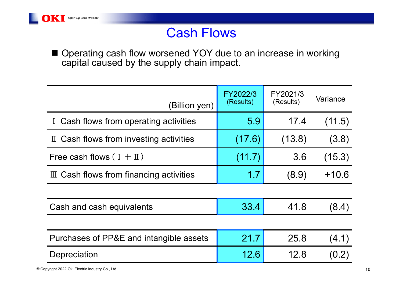

### Cash Flows

■ Operating cash flow worsened YOY due to an increase in working capital caused by the supply chain impact.

| (Billion yen)                                    | FY2022/3<br>(Results) | FY2021/3<br>(Results) | Variance |
|--------------------------------------------------|-----------------------|-----------------------|----------|
| I Cash flows from operating activities           | 5.9                   | 17.4                  | (11.5)   |
| II Cash flows from investing activities          | (17.6)                | (13.8)                | (3.8)    |
| Free cash flows $(I + I I)$                      | (11.7)                | 3.6                   | (15.3)   |
| $\mathbb I$ Cash flows from financing activities | 1.7                   | (8.9)                 | $+10.6$  |
|                                                  |                       |                       |          |
| Cash and cash equivalents                        | 33.4                  | 41.8                  | (8.4)    |
|                                                  |                       |                       |          |
| Purchases of PP&E and intangible assets          | 21.7                  | 25.8                  | (4.1)    |
| Depreciation                                     | 12.6                  | 12.8                  | (0.2)    |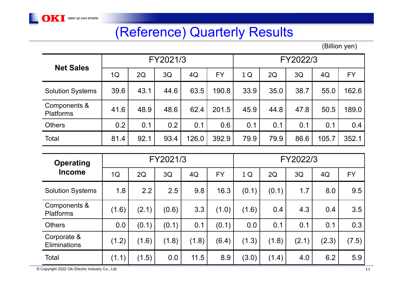

## (Reference) Quarterly Results

(Billion yen)

| <b>Net Sales</b>                 | FY2021/3 |      |      |       | FY2022/3  |      |      |      |       |           |
|----------------------------------|----------|------|------|-------|-----------|------|------|------|-------|-----------|
|                                  | 1Q       | 2Q   | 3Q   | 4Q    | <b>FY</b> | 1Q   | 2Q   | 3Q   | 4Q    | <b>FY</b> |
| <b>Solution Systems</b>          | 39.6     | 43.1 | 44.6 | 63.5  | 190.8     | 33.9 | 35.0 | 38.7 | 55.0  | 162.6     |
| Components &<br><b>Platforms</b> | 41.6     | 48.9 | 48.6 | 62.4  | 201.5     | 45.9 | 44.8 | 47.8 | 50.5  | 189.0     |
| <b>Others</b>                    | 0.2      | 0.1  | 0.2  | 0.1   | 0.6       | 0.1  | 0.1  | 0.1  | 0.1   | 0.4       |
| Total                            | 81.4     | 92.1 | 93.4 | 126.0 | 392.9     | 79.9 | 79.9 | 86.6 | 105.7 | 352.1     |

| <b>Operating</b>                 |       |       | FY2021/3 |       |           |       |       | FY2022/3 |       |           |
|----------------------------------|-------|-------|----------|-------|-----------|-------|-------|----------|-------|-----------|
| <b>Income</b>                    | 1Q    | 2Q    | 3Q       | 4Q    | <b>FY</b> | 1Q    | 2Q    | 3Q       | 4Q    | <b>FY</b> |
| <b>Solution Systems</b>          | 1.8   | 2.2   | 2.5      | 9.8   | 16.3      | (0.1) | (0.1) | 1.7      | 8.0   | 9.5       |
| Components &<br><b>Platforms</b> | (1.6) | (2.1) | (0.6)    | 3.3   | (1.0)     | (1.6) | 0.4   | 4.3      | 0.4   | 3.5       |
| <b>Others</b>                    | 0.0   | (0.1) | (0.1)    | 0.1   | (0.1)     | 0.0   | 0.1   | 0.1      | 0.1   | 0.3       |
| Corporate &<br>Eliminations      | (1.2) | (1.6) | (1.8)    | (1.8) | (6.4)     | (1.3) | (1.8) | (2.1)    | (2.3) | (7.5)     |
| Total                            | (1.1) | (1.5) | 0.0      | 11.5  | 8.9       | (3.0) | (1.4) | 4.0      | 6.2   | 5.9       |

© Copyright 2022 Oki Electric Industry Co., Ltd. 11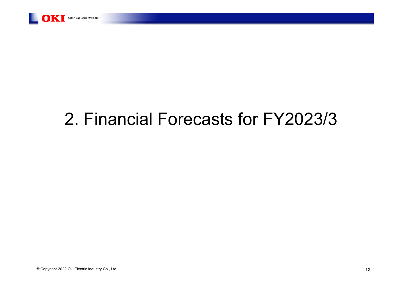

# 2. Financial Forecasts for FY2023/3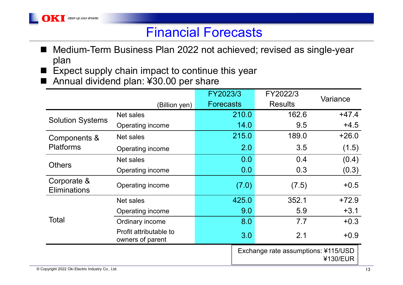### Financial Forecasts

- Medium-Term Business Plan 2022 not achieved; revised as single-year plan
- $\blacksquare$  Expect supply chain impact to continue this year
- Annual dividend plan: ¥30.00 per share

|                                    |                                            | FY2023/3         |                                                 | FY2022/3       | Variance |  |
|------------------------------------|--------------------------------------------|------------------|-------------------------------------------------|----------------|----------|--|
|                                    | (Billion yen)                              | <b>Forecasts</b> |                                                 | <b>Results</b> |          |  |
|                                    | Net sales                                  |                  | 210.0                                           | 162.6          | $+47.4$  |  |
| <b>Solution Systems</b>            | Operating income                           |                  | 14.0                                            | 9.5            | $+4.5$   |  |
| Components &                       | Net sales                                  |                  | 215.0                                           | 189.0          | $+26.0$  |  |
| <b>Platforms</b>                   | Operating income                           |                  | 2.0                                             | 3.5            | (1.5)    |  |
|                                    | Net sales                                  |                  | 0.0                                             | 0.4            | (0.4)    |  |
| <b>Others</b>                      | Operating income                           |                  | 0.0                                             | 0.3            | (0.3)    |  |
| Corporate &<br><b>Eliminations</b> | Operating income                           |                  | (7.0)                                           | (7.5)          | $+0.5$   |  |
|                                    | Net sales                                  |                  | 425.0                                           | 352.1          | $+72.9$  |  |
|                                    | Operating income                           |                  | 9.0                                             | 5.9            | $+3.1$   |  |
| Total                              | Ordinary income                            |                  | 8.0                                             | 7.7            | $+0.3$   |  |
|                                    | Profit attributable to<br>owners of parent |                  | 3.0                                             | 2.1            | $+0.9$   |  |
|                                    |                                            |                  | Exchange rate assumptions: ¥115/USD<br>¥130/EUR |                |          |  |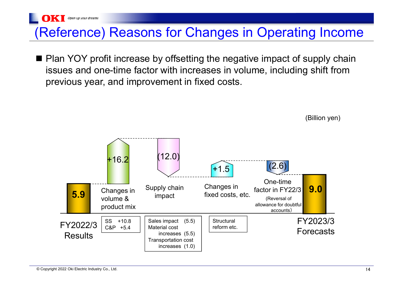## (Reference) Reasons for Changes in Operating Income

■ Plan YOY profit increase by offsetting the negative impact of supply chain issues and one-time factor with increases in volume, including shift from previous year, and improvement in fixed costs.



(Billion yen)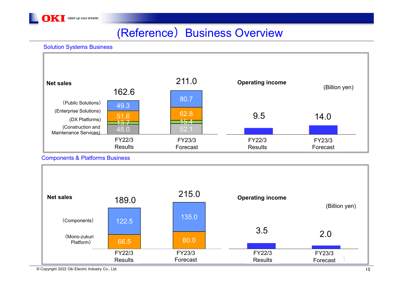

### (Reference) Business Overview

#### Solution Systems Business



#### Components & Platforms Business



© Copyright 2022 Oki Electric Industry Co., Ltd. 15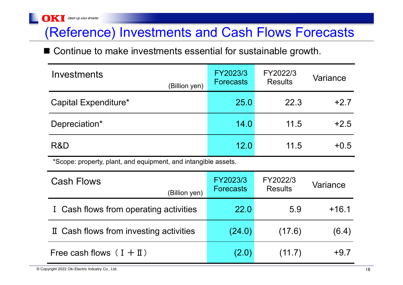## (Reference) Investments and Cash Flows Forecasts

■ Continue to make investments essential for sustainable growth.

| Investments<br>(Billion yen)                                   | FY2023/3<br><b>Forecasts</b> | FY2022/3<br><b>Results</b> | Variance |
|----------------------------------------------------------------|------------------------------|----------------------------|----------|
| Capital Expenditure*                                           | 25.0                         | 22.3                       | $+2.7$   |
| Depreciation*                                                  | 14.0                         | 11.5                       | $+2.5$   |
| R&D                                                            | 12.0                         | 11.5                       | $+0.5$   |
| *Scope: property, plant, and equipment, and intangible assets. |                              |                            |          |
| <b>Cash Flows</b><br>(Billion yen)                             | FY2023/3<br><b>Forecasts</b> | FY2022/3<br><b>Results</b> | Variance |
|                                                                |                              |                            |          |
| I Cash flows from operating activities                         | 22.0                         | 5.9                        | $+16.1$  |
| If Cash flows from investing activities                        | (24.0)                       | (17.6)                     | (6.4)    |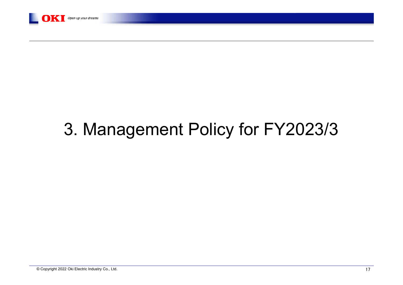

# 3. Management Policy for FY2023/3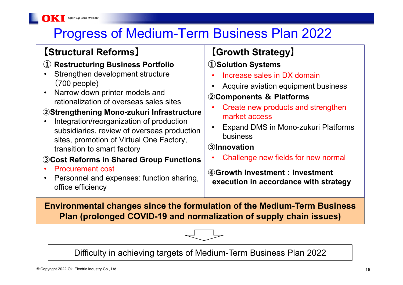# Progress of Medium-Term Business Plan 2022

#### **【Structural Reforms 】**

Open up your dreams

#### **① Restructuring Business Portfolio**

- • Strengthen development structure (700 people)
- $\bullet$  Narrow down printer models and rationalization of overseas sales sites

#### **②Strengthening Mono-zukuri Infrastructure**

• Integration/reorganization of production subsidiaries, review of overseas production sites, promotion of Virtual One Factory, transition to smart factory

#### **③Cost Reforms in Shared Group Functions**

- •Procurement cost
- • Personnel and expenses: function sharing, office efficiency

### **【Growth Strategy 】**

#### **①Solution Systems**

- •Increase sales in DX domain
- •Acquire aviation equipment business

#### **②Components & Platforms**

- • Create new products and strengthen market access
- • Expand DMS in Mono-zukuri Platforms business

#### **③Innovation**

•Challenge new fields for new normal

**④Growth Investment︓Investment execution in accordance with strategy**

**Environmental changes since the formulation of the Medium-Term Business Plan (prolonged COVID-19 and normalization of supply chain issues)**



Difficulty in achieving targets of Medium-Term Business Plan 2022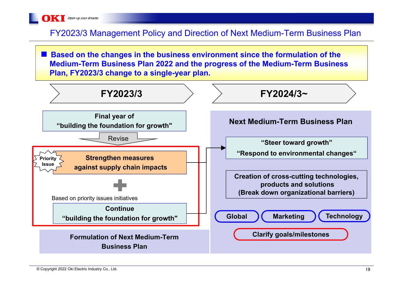

#### FY2023/3 Management Policy and Direction of Next Medium-Term Business Plan

■ Based on the changes in the business environment since the formulation of the **Medium-Term Business Plan 2022 and the progress of the Medium-Term Business Plan, FY2023/3 change to a single-year plan.**

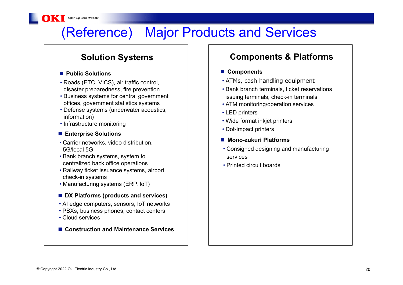# (Reference) Major Products and Services

#### ■ Public Solutions

Open up your dreams

- Roads (ETC, VICS), air traffic control, disaster preparedness, fire prevention
- Business systems for central government offices, government statistics systems
- Defense systems (underwater acoustics, information)
- Infrastructure monitoring

#### **■ Enterprise Solutions**

- Carrier networks, video distribution, 5G/local 5G
- Bank branch systems, system to centralized back office operations
- Railway ticket issuance systems, airport check-in systems
- Manufacturing systems (ERP, IoT)

#### **DX Platforms (products and services)**

- AI edge computers, sensors, IoT networks
- PBXs, business phones, contact centers
- Cloud services
- Construction and Maintenance Services

#### **Solution Systems Components & Platforms**

#### **Components**

- ATMs, cash handling equipment
- Bank branch terminals, ticket reservations issuing terminals, check-in terminals
- ATM monitoring/operation services
- LED printers
- Wide format inkjet printers
- Dot-impact printers
- Mono-zukuri Platforms
- Consigned designing and manufacturing services
- Printed circuit boards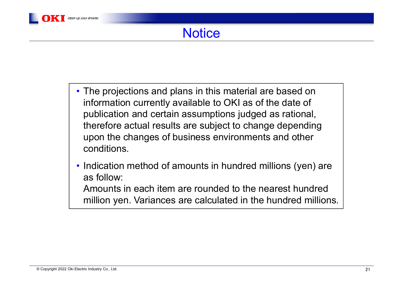- The projections and plans in this material are based on information currently available to OKI as of the date of publication and certain assumptions judged as rational, therefore actual results are subject to change depending upon the changes of business environments and other conditions.
- Indication method of amounts in hundred millions (yen) are as follow:

Amounts in each item are rounded to the nearest hundred million yen. Variances are calculated in the hundred millions.